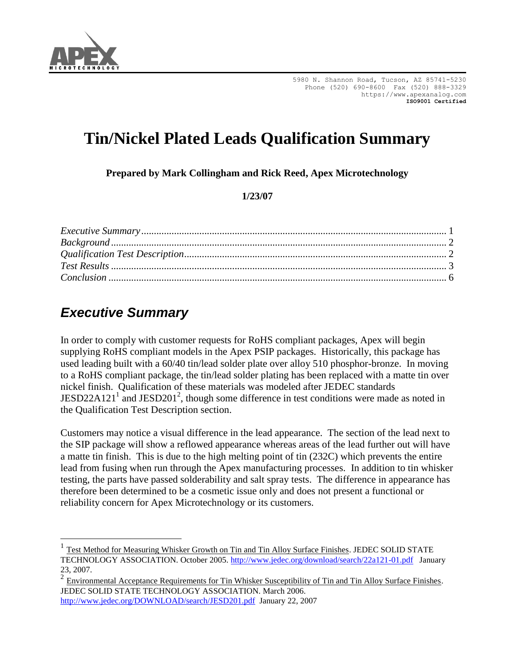

# **Tin/Nickel Plated Leads Qualification Summary**

**Prepared by Mark Collingham and Rick Reed, Apex Microtechnology** 

#### **1/23/07**

| $Background \dots 2$ |  |
|----------------------|--|
|                      |  |
|                      |  |
|                      |  |

## <span id="page-0-0"></span>*Executive Summary*

In order to comply with customer requests for RoHS compliant packages, Apex will begin supplying RoHS compliant models in the Apex PSIP packages. Historically, this package has used leading built with a 60/40 tin/lead solder plate over alloy 510 phosphor-bronze. In moving to a RoHS compliant package, the tin/lead solder plating has been replaced with a matte tin over nickel finish. Qualification of these materials was modeled after JEDEC standards JESD22A121<sup>1</sup> and JESD201<sup>2</sup>, though some difference in test conditions were made as noted in the Qualification Test Description section.

Customers may notice a visual difference in the lead appearance. The section of the lead next to the SIP package will show a reflowed appearance whereas areas of the lead further out will have a matte tin finish. This is due to the high melting point of tin (232C) which prevents the entire lead from fusing when run through the Apex manufacturing processes. In addition to tin whisker testing, the parts have passed solderability and salt spray tests. The difference in appearance has therefore been determined to be a cosmetic issue only and does not present a functional or reliability concern for Apex Microtechnology or its customers.

<sup>1</sup> Test Method for Measuring Whisker Growth on Tin and Tin Alloy Surface Finishes. JEDEC SOLID STATE TECHNOLOGY ASSOCIATION. October 2005.<http://www.jedec.org/download/search/22a121-01.pdf> January 23, 2007.

 $2 \text{ Environmental Acceptance Requirements for Tin Whisker Susceptibility of Tin and Tin Alloy Surface Finishes.}$ JEDEC SOLID STATE TECHNOLOGY ASSOCIATION. March 2006. <http://www.jedec.org/DOWNLOAD/search/JESD201.pdf>January 22, 2007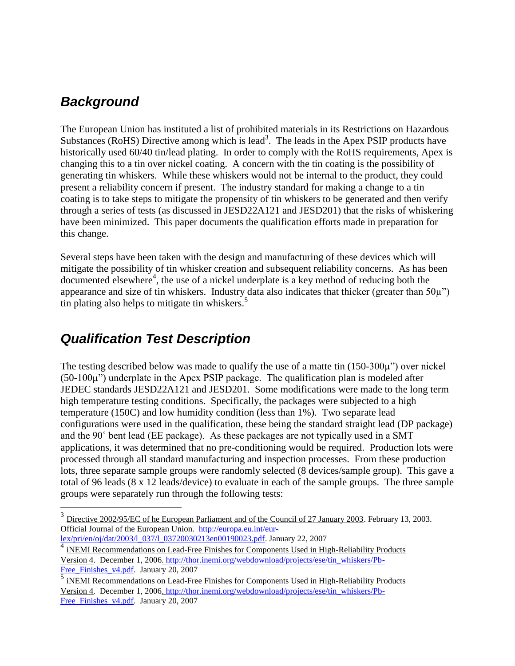### <span id="page-1-0"></span>*Background*

 $\overline{a}$ 

The European Union has instituted a list of prohibited materials in its Restrictions on Hazardous Substances (RoHS) Directive among which is lead<sup>3</sup>. The leads in the Apex PSIP products have historically used 60/40 tin/lead plating. In order to comply with the RoHS requirements, Apex is changing this to a tin over nickel coating. A concern with the tin coating is the possibility of generating tin whiskers. While these whiskers would not be internal to the product, they could present a reliability concern if present. The industry standard for making a change to a tin coating is to take steps to mitigate the propensity of tin whiskers to be generated and then verify through a series of tests (as discussed in JESD22A121 and JESD201) that the risks of whiskering have been minimized. This paper documents the qualification efforts made in preparation for this change.

Several steps have been taken with the design and manufacturing of these devices which will mitigate the possibility of tin whisker creation and subsequent reliability concerns. As has been  $d$  documented elsewhere<sup>4</sup>, the use of a nickel underplate is a key method of reducing both the appearance and size of tin whiskers. Industry data also indicates that thicker (greater than  $50\mu$ ") tin plating also helps to mitigate tin whiskers. $5$ 

### <span id="page-1-1"></span>*Qualification Test Description*

The testing described below was made to qualify the use of a matte tin (150-300µ") over nickel  $(50-100\mu)$  underplate in the Apex PSIP package. The qualification plan is modeled after JEDEC standards JESD22A121 and JESD201. Some modifications were made to the long term high temperature testing conditions. Specifically, the packages were subjected to a high temperature (150C) and low humidity condition (less than 1%). Two separate lead configurations were used in the qualification, these being the standard straight lead (DP package) and the 90˚ bent lead (EE package). As these packages are not typically used in a SMT applications, it was determined that no pre-conditioning would be required. Production lots were processed through all standard manufacturing and inspection processes. From these production lots, three separate sample groups were randomly selected (8 devices/sample group). This gave a total of 96 leads (8 x 12 leads/device) to evaluate in each of the sample groups. The three sample groups were separately run through the following tests:

4 iNEMI Recommendations on Lead-Free Finishes for Components Used in High-Reliability Products Version 4. December 1, 2006. [http://thor.inemi.org/webdownload/projects/ese/tin\\_whiskers/Pb-](http://thor.inemi.org/webdownload/projects/ese/tin_whiskers/Pb-Free_Finishes_v4.pdf)Free Finishes v4.pdf. January 20, 2007

 $3$  Directive 2002/95/EC of he European Parliament and of the Council of 27 January 2003. February 13, 2003. Official Journal of the European Union. [http://europa.eu.int/eur](http://europa.eu.int/eur-lex/pri/en/oj/dat/2003/l_037/l_03720030213en00190023.pdf)[lex/pri/en/oj/dat/2003/l\\_037/l\\_03720030213en00190023.pdf.](http://europa.eu.int/eur-lex/pri/en/oj/dat/2003/l_037/l_03720030213en00190023.pdf) January 22, 2007

<sup>5</sup> iNEMI Recommendations on Lead-Free Finishes for Components Used in High-Reliability Products Version 4. December 1, 2006. [http://thor.inemi.org/webdownload/projects/ese/tin\\_whiskers/Pb-](http://thor.inemi.org/webdownload/projects/ese/tin_whiskers/Pb-Free_Finishes_v4.pdf)Free Finishes v4.pdf. January 20, 2007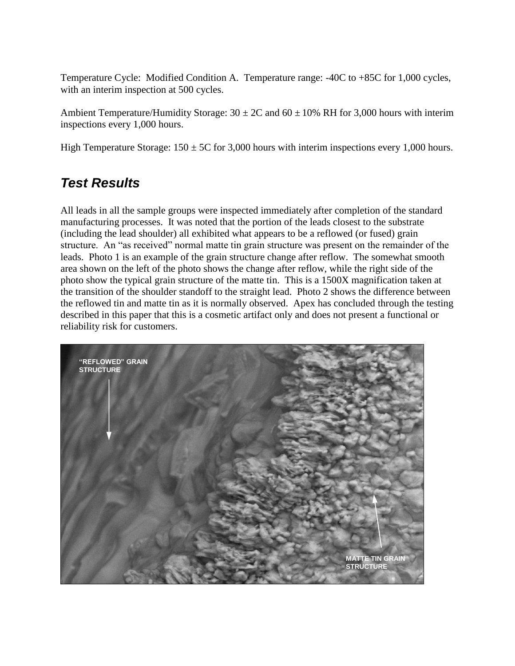Temperature Cycle: Modified Condition A. Temperature range: -40C to +85C for 1,000 cycles, with an interim inspection at 500 cycles.

Ambient Temperature/Humidity Storage:  $30 \pm 2C$  and  $60 \pm 10\%$  RH for 3,000 hours with interim inspections every 1,000 hours.

High Temperature Storage:  $150 \pm 5C$  for 3,000 hours with interim inspections every 1,000 hours.

### <span id="page-2-0"></span>*Test Results*

All leads in all the sample groups were inspected immediately after completion of the standard manufacturing processes. It was noted that the portion of the leads closest to the substrate (including the lead shoulder) all exhibited what appears to be a reflowed (or fused) grain structure. An "as received" normal matte tin grain structure was present on the remainder of the leads. Photo 1 is an example of the grain structure change after reflow. The somewhat smooth area shown on the left of the photo shows the change after reflow, while the right side of the photo show the typical grain structure of the matte tin. This is a 1500X magnification taken at the transition of the shoulder standoff to the straight lead. Photo 2 shows the difference between the reflowed tin and matte tin as it is normally observed. Apex has concluded through the testing described in this paper that this is a cosmetic artifact only and does not present a functional or reliability risk for customers.

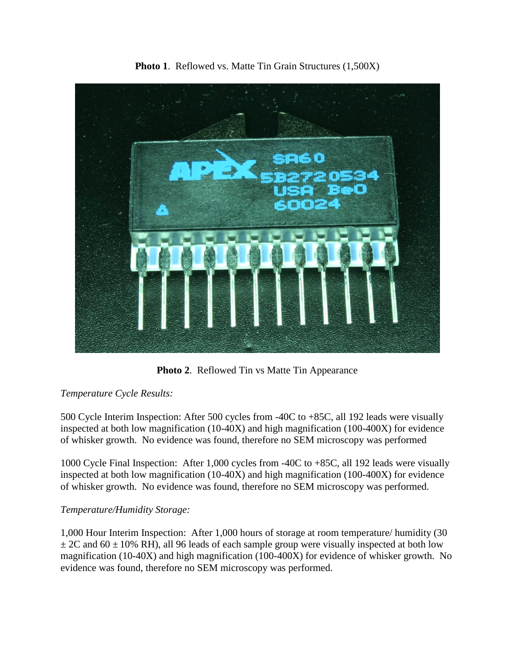

**Photo 1**. Reflowed vs. Matte Tin Grain Structures (1,500X)

**Photo 2**. Reflowed Tin vs Matte Tin Appearance

#### *Temperature Cycle Results:*

500 Cycle Interim Inspection: After 500 cycles from -40C to +85C, all 192 leads were visually inspected at both low magnification (10-40X) and high magnification (100-400X) for evidence of whisker growth. No evidence was found, therefore no SEM microscopy was performed

1000 Cycle Final Inspection: After 1,000 cycles from -40C to +85C, all 192 leads were visually inspected at both low magnification (10-40X) and high magnification (100-400X) for evidence of whisker growth. No evidence was found, therefore no SEM microscopy was performed.

#### *Temperature/Humidity Storage:*

1,000 Hour Interim Inspection: After 1,000 hours of storage at room temperature/ humidity (30  $\pm$  2C and 60  $\pm$  10% RH), all 96 leads of each sample group were visually inspected at both low magnification (10-40X) and high magnification (100-400X) for evidence of whisker growth. No evidence was found, therefore no SEM microscopy was performed.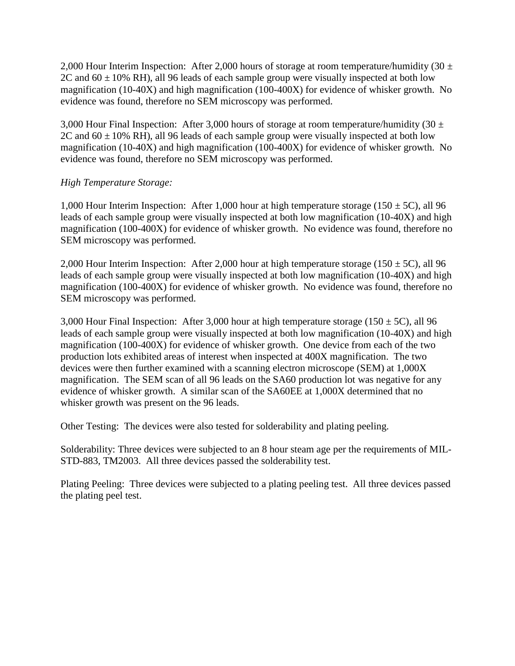2,000 Hour Interim Inspection: After 2,000 hours of storage at room temperature/humidity (30  $\pm$ 2C and  $60 \pm 10\%$  RH), all 96 leads of each sample group were visually inspected at both low magnification (10-40X) and high magnification (100-400X) for evidence of whisker growth. No evidence was found, therefore no SEM microscopy was performed.

3,000 Hour Final Inspection: After 3,000 hours of storage at room temperature/humidity (30  $\pm$ 2C and  $60 \pm 10\%$  RH), all 96 leads of each sample group were visually inspected at both low magnification (10-40X) and high magnification (100-400X) for evidence of whisker growth. No evidence was found, therefore no SEM microscopy was performed.

#### *High Temperature Storage:*

1,000 Hour Interim Inspection: After 1,000 hour at high temperature storage (150  $\pm$  5C), all 96 leads of each sample group were visually inspected at both low magnification (10-40X) and high magnification (100-400X) for evidence of whisker growth. No evidence was found, therefore no SEM microscopy was performed.

2,000 Hour Interim Inspection: After 2,000 hour at high temperature storage (150  $\pm$  5C), all 96 leads of each sample group were visually inspected at both low magnification (10-40X) and high magnification (100-400X) for evidence of whisker growth. No evidence was found, therefore no SEM microscopy was performed.

3,000 Hour Final Inspection: After 3,000 hour at high temperature storage (150  $\pm$  5C), all 96 leads of each sample group were visually inspected at both low magnification (10-40X) and high magnification (100-400X) for evidence of whisker growth. One device from each of the two production lots exhibited areas of interest when inspected at 400X magnification. The two devices were then further examined with a scanning electron microscope (SEM) at 1,000X magnification. The SEM scan of all 96 leads on the SA60 production lot was negative for any evidence of whisker growth. A similar scan of the SA60EE at 1,000X determined that no whisker growth was present on the 96 leads.

Other Testing: The devices were also tested for solderability and plating peeling.

Solderability: Three devices were subjected to an 8 hour steam age per the requirements of MIL-STD-883, TM2003. All three devices passed the solderability test.

Plating Peeling: Three devices were subjected to a plating peeling test. All three devices passed the plating peel test.